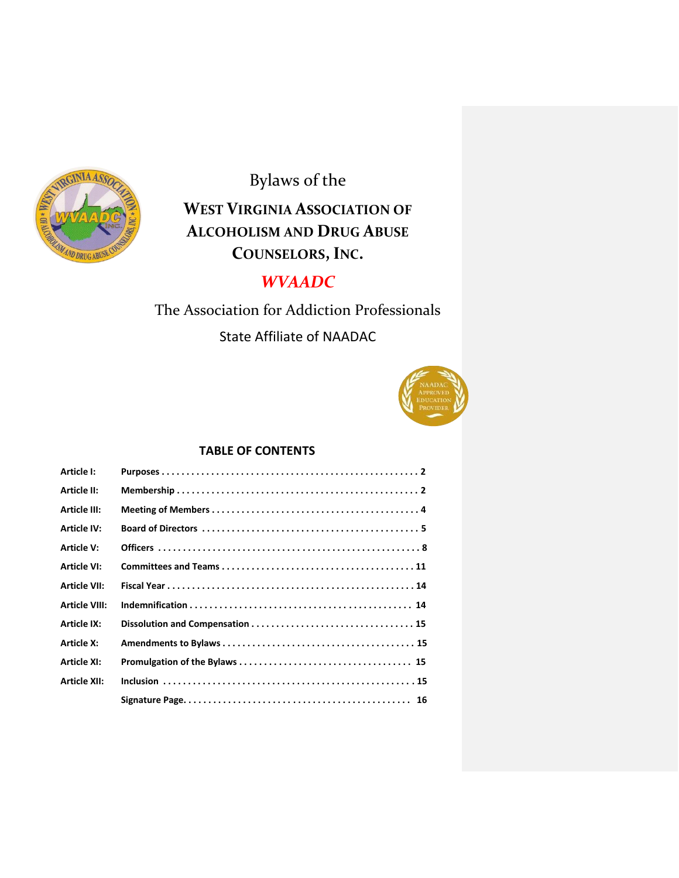

Bylaws of the

# **WEST VIRGINIA ASSOCIATION OF ALCOHOLISM AND DRUG ABUSE COUNSELORS,INC.**

# *WVAADC*

The Association for Addiction Professionals

State Affiliate of NAADAC



## **TABLE OF CONTENTS**

| <b>Article I:</b>    |  |
|----------------------|--|
| <b>Article II:</b>   |  |
| <b>Article III:</b>  |  |
| <b>Article IV:</b>   |  |
| <b>Article V:</b>    |  |
| <b>Article VI:</b>   |  |
| <b>Article VII:</b>  |  |
| <b>Article VIII:</b> |  |
| <b>Article IX:</b>   |  |
| <b>Article X:</b>    |  |
| <b>Article XI:</b>   |  |
| <b>Article XII:</b>  |  |
|                      |  |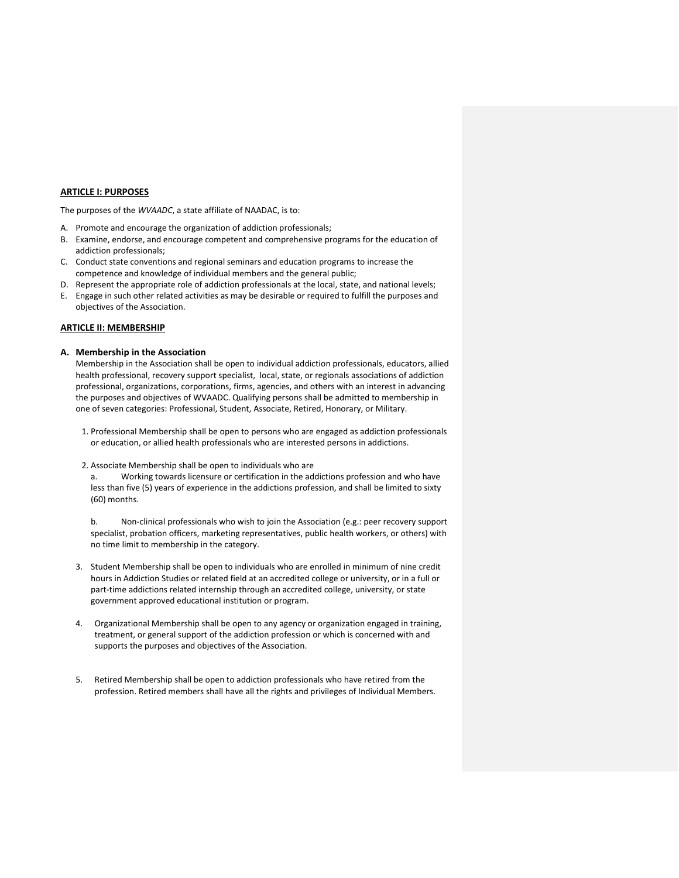#### **ARTICLE I: PURPOSES**

The purposes of the *WVAADC*, a state affiliate of NAADAC, is to:

- A. Promote and encourage the organization of addiction professionals;
- B. Examine, endorse, and encourage competent and comprehensive programs for the education of addiction professionals;
- C. Conduct state conventions and regional seminars and education programs to increase the competence and knowledge of individual members and the general public;
- D. Represent the appropriate role of addiction professionals at the local, state, and national levels;
- E. Engage in such other related activities as may be desirable or required to fulfill the purposes and objectives of the Association.

#### **ARTICLE II: MEMBERSHIP**

#### **A. Membership in the Association**

Membership in the Association shall be open to individual addiction professionals, educators, allied health professional, recovery support specialist, local, state, or regionals associations of addiction professional, organizations, corporations, firms, agencies, and others with an interest in advancing the purposes and objectives of WVAADC. Qualifying persons shall be admitted to membership in one of seven categories: Professional, Student, Associate, Retired, Honorary, or Military.

- 1. Professional Membership shall be open to persons who are engaged as addiction professionals or education, or allied health professionals who are interested persons in addictions.
- 2. Associate Membership shall be open to individuals who are

a. Working towards licensure or certification in the addictions profession and who have less than five (5) years of experience in the addictions profession, and shall be limited to sixty (60) months.

b. Non-clinical professionals who wish to join the Association (e.g.: peer recovery support specialist, probation officers, marketing representatives, public health workers, or others) with no time limit to membership in the category.

- 3. Student Membership shall be open to individuals who are enrolled in minimum of nine credit hours in Addiction Studies or related field at an accredited college or university, or in a full or part-time addictions related internship through an accredited college, university, or state government approved educational institution or program.
- 4. Organizational Membership shall be open to any agency or organization engaged in training, treatment, or general support of the addiction profession or which is concerned with and supports the purposes and objectives of the Association.
- 5. Retired Membership shall be open to addiction professionals who have retired from the profession. Retired members shall have all the rights and privileges of Individual Members.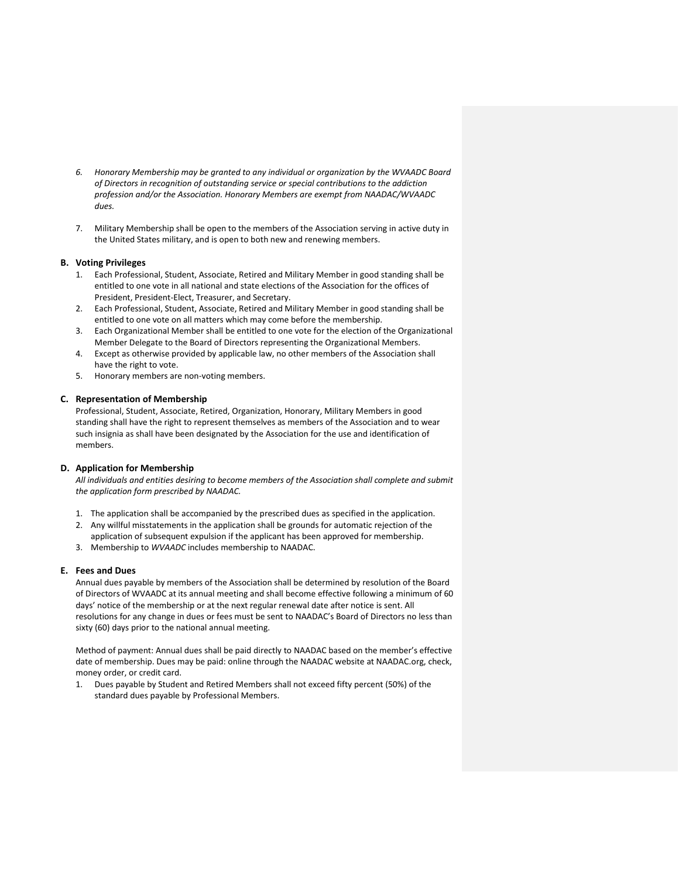- *6. Honorary Membership may be granted to any individual or organization by the WVAADC Board of Directors in recognition of outstanding service or special contributions to the addiction profession and/or the Association. Honorary Members are exempt from NAADAC/WVAADC dues.*
- 7. Military Membership shall be open to the members of the Association serving in active duty in the United States military, and is open to both new and renewing members.

## **B. Voting Privileges**

- 1. Each Professional, Student, Associate, Retired and Military Member in good standing shall be entitled to one vote in all national and state elections of the Association for the offices of President, President-Elect, Treasurer, and Secretary.
- 2. Each Professional, Student, Associate, Retired and Military Member in good standing shall be entitled to one vote on all matters which may come before the membership.
- 3. Each Organizational Member shall be entitled to one vote for the election of the Organizational Member Delegate to the Board of Directors representing the Organizational Members.
- 4. Except as otherwise provided by applicable law, no other members of the Association shall have the right to vote.
- 5. Honorary members are non-voting members.

#### **C. Representation of Membership**

Professional, Student, Associate, Retired, Organization, Honorary, Military Members in good standing shall have the right to represent themselves as members of the Association and to wear such insignia as shall have been designated by the Association for the use and identification of members.

## **D. Application for Membership**

*All individuals and entities desiring to become members of the Association shall complete and submit the application form prescribed by NAADAC.*

- 1. The application shall be accompanied by the prescribed dues as specified in the application.
- 2. Any willful misstatements in the application shall be grounds for automatic rejection of the application of subsequent expulsion if the applicant has been approved for membership.
- 3. Membership to *WVAADC* includes membership to NAADAC.

## **E. Fees and Dues**

Annual dues payable by members of the Association shall be determined by resolution of the Board of Directors of WVAADC at its annual meeting and shall become effective following a minimum of 60 days' notice of the membership or at the next regular renewal date after notice is sent. All resolutions for any change in dues or fees must be sent to NAADAC's Board of Directors no less than sixty (60) days prior to the national annual meeting.

Method of payment: Annual dues shall be paid directly to NAADAC based on the member's effective date of membership. Dues may be paid: online through the NAADAC website at NAADAC.org, check, money order, or credit card.

1. Dues payable by Student and Retired Members shall not exceed fifty percent (50%) of the standard dues payable by Professional Members.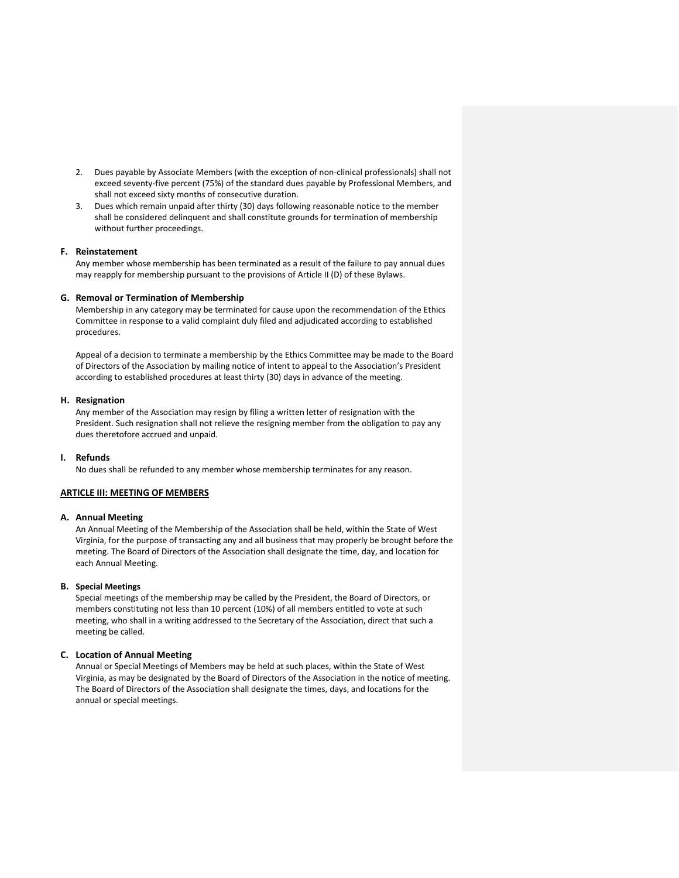- 2. Dues payable by Associate Members (with the exception of non-clinical professionals) shall not exceed seventy-five percent (75%) of the standard dues payable by Professional Members, and shall not exceed sixty months of consecutive duration.
- 3. Dues which remain unpaid after thirty (30) days following reasonable notice to the member shall be considered delinquent and shall constitute grounds for termination of membership without further proceedings.

#### **F. Reinstatement**

Any member whose membership has been terminated as a result of the failure to pay annual dues may reapply for membership pursuant to the provisions of Article II (D) of these Bylaws.

#### **G. Removal or Termination of Membership**

Membership in any category may be terminated for cause upon the recommendation of the Ethics Committee in response to a valid complaint duly filed and adjudicated according to established procedures.

Appeal of a decision to terminate a membership by the Ethics Committee may be made to the Board of Directors of the Association by mailing notice of intent to appeal to the Association's President according to established procedures at least thirty (30) days in advance of the meeting.

#### **H. Resignation**

Any member of the Association may resign by filing a written letter of resignation with the President. Such resignation shall not relieve the resigning member from the obligation to pay any dues theretofore accrued and unpaid.

#### **I. Refunds**

No dues shall be refunded to any member whose membership terminates for any reason.

## **ARTICLE III: MEETING OF MEMBERS**

#### **A. Annual Meeting**

An Annual Meeting of the Membership of the Association shall be held, within the State of West Virginia, for the purpose of transacting any and all business that may properly be brought before the meeting. The Board of Directors of the Association shall designate the time, day, and location for each Annual Meeting.

## **B. Special Meetings**

Special meetings of the membership may be called by the President, the Board of Directors, or members constituting not less than 10 percent (10%) of all members entitled to vote at such meeting, who shall in a writing addressed to the Secretary of the Association, direct that such a meeting be called.

#### **C. Location of Annual Meeting**

Annual or Special Meetings of Members may be held at such places, within the State of West Virginia, as may be designated by the Board of Directors of the Association in the notice of meeting. The Board of Directors of the Association shall designate the times, days, and locations for the annual or special meetings.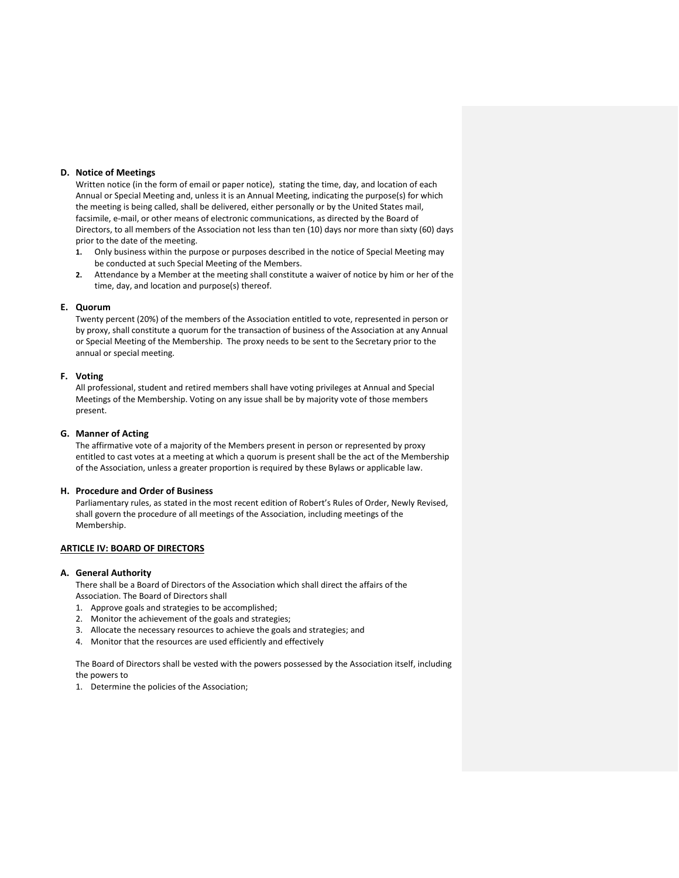#### **D. Notice of Meetings**

Written notice (in the form of email or paper notice), stating the time, day, and location of each Annual or Special Meeting and, unless it is an Annual Meeting, indicating the purpose(s) for which the meeting is being called, shall be delivered, either personally or by the United States mail, facsimile, e-mail, or other means of electronic communications, as directed by the Board of Directors, to all members of the Association not less than ten (10) days nor more than sixty (60) days prior to the date of the meeting.

- **1.** Only business within the purpose or purposes described in the notice of Special Meeting may be conducted at such Special Meeting of the Members.
- **2.** Attendance by a Member at the meeting shall constitute a waiver of notice by him or her of the time, day, and location and purpose(s) thereof.

#### **E. Quorum**

Twenty percent (20%) of the members of the Association entitled to vote, represented in person or by proxy, shall constitute a quorum for the transaction of business of the Association at any Annual or Special Meeting of the Membership. The proxy needs to be sent to the Secretary prior to the annual or special meeting.

## **F. Voting**

All professional, student and retired members shall have voting privileges at Annual and Special Meetings of the Membership. Voting on any issue shall be by majority vote of those members present.

#### **G. Manner of Acting**

The affirmative vote of a majority of the Members present in person or represented by proxy entitled to cast votes at a meeting at which a quorum is present shall be the act of the Membership of the Association, unless a greater proportion is required by these Bylaws or applicable law.

#### **H. Procedure and Order of Business**

Parliamentary rules, as stated in the most recent edition of Robert's Rules of Order, Newly Revised, shall govern the procedure of all meetings of the Association, including meetings of the Membership.

## **ARTICLE IV: BOARD OF DIRECTORS**

#### **A. General Authority**

There shall be a Board of Directors of the Association which shall direct the affairs of the Association. The Board of Directors shall

- 1. Approve goals and strategies to be accomplished;
- 2. Monitor the achievement of the goals and strategies;
- 3. Allocate the necessary resources to achieve the goals and strategies; and
- 4. Monitor that the resources are used efficiently and effectively

The Board of Directors shall be vested with the powers possessed by the Association itself, including the powers to

1. Determine the policies of the Association;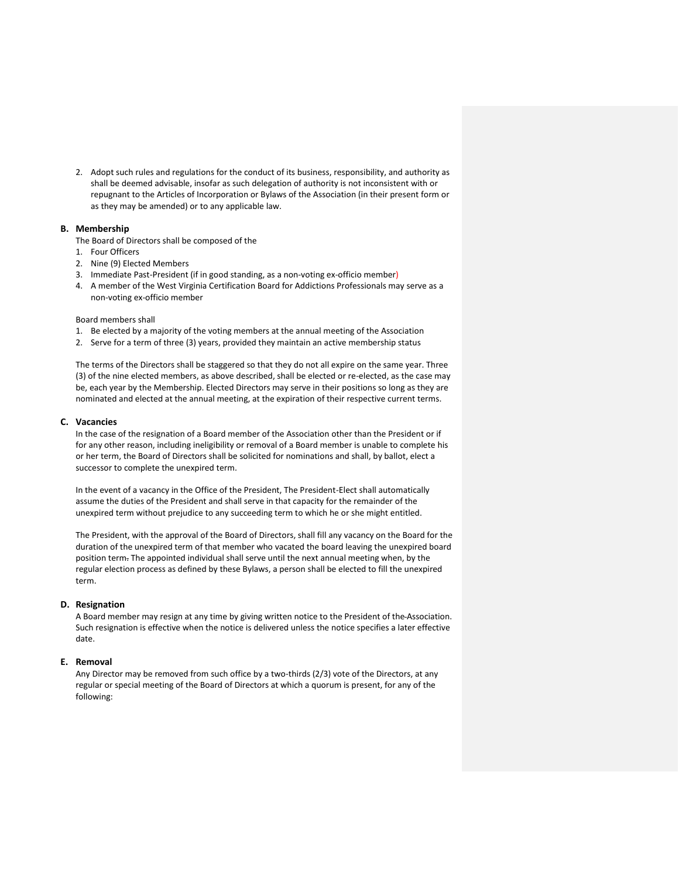2. Adopt such rules and regulations for the conduct of its business, responsibility, and authority as shall be deemed advisable, insofar as such delegation of authority is not inconsistent with or repugnant to the Articles of Incorporation or Bylaws of the Association (in their present form or as they may be amended) or to any applicable law.

## **B. Membership**

The Board of Directors shall be composed of the

- 1. Four Officers
- 2. Nine (9) Elected Members
- 3. Immediate Past-President (if in good standing, as a non-voting ex-officio member)
- 4. A member of the West Virginia Certification Board for Addictions Professionals may serve as a non-voting ex-officio member

#### Board members shall

- 1. Be elected by a majority of the voting members at the annual meeting of the Association
- 2. Serve for a term of three (3) years, provided they maintain an active membership status

The terms of the Directors shall be staggered so that they do not all expire on the same year. Three (3) of the nine elected members, as above described, shall be elected or re-elected, as the case may be, each year by the Membership. Elected Directors may serve in their positions so long as they are nominated and elected at the annual meeting, at the expiration of their respective current terms.

#### **C. Vacancies**

In the case of the resignation of a Board member of the Association other than the President or if for any other reason, including ineligibility or removal of a Board member is unable to complete his or her term, the Board of Directors shall be solicited for nominations and shall, by ballot, elect a successor to complete the unexpired term.

In the event of a vacancy in the Office of the President, The President-Elect shall automatically assume the duties of the President and shall serve in that capacity for the remainder of the unexpired term without prejudice to any succeeding term to which he or she might entitled.

The President, with the approval of the Board of Directors, shall fill any vacancy on the Board for the duration of the unexpired term of that member who vacated the board leaving the unexpired board position term. The appointed individual shall serve until the next annual meeting when, by the regular election process as defined by these Bylaws, a person shall be elected to fill the unexpired term.

#### **D. Resignation**

A Board member may resign at any time by giving written notice to the President of the Association. Such resignation is effective when the notice is delivered unless the notice specifies a later effective date.

#### **E. Removal**

Any Director may be removed from such office by a two-thirds (2/3) vote of the Directors, at any regular or special meeting of the Board of Directors at which a quorum is present, for any of the following: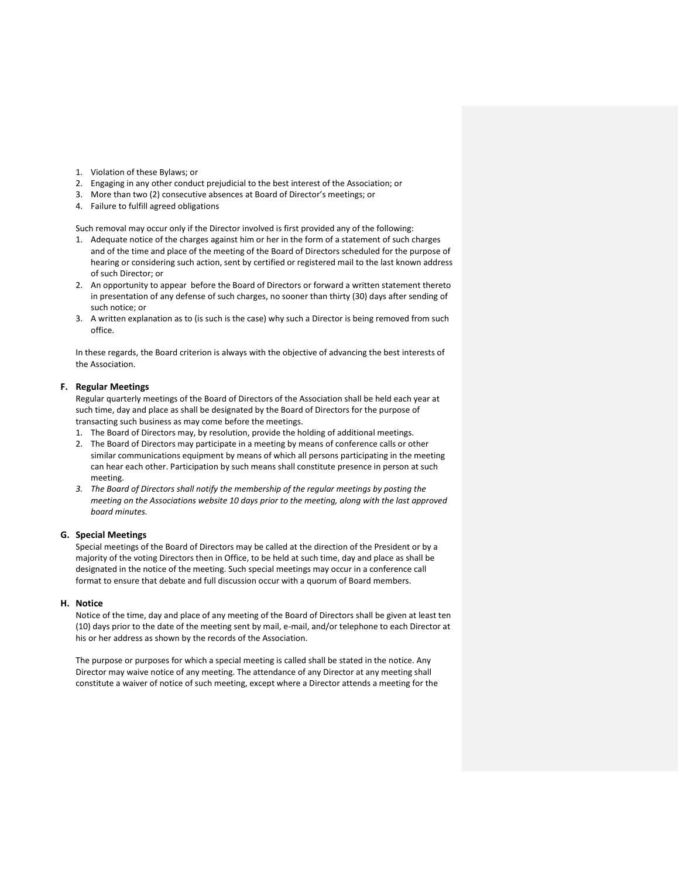- 1. Violation of these Bylaws; or
- 2. Engaging in any other conduct prejudicial to the best interest of the Association; or
- 3. More than two (2) consecutive absences at Board of Director's meetings; or
- 4. Failure to fulfill agreed obligations

Such removal may occur only if the Director involved is first provided any of the following:

- 1. Adequate notice of the charges against him or her in the form of a statement of such charges and of the time and place of the meeting of the Board of Directors scheduled for the purpose of hearing or considering such action, sent by certified or registered mail to the last known address of such Director; or
- 2. An opportunity to appear before the Board of Directors or forward a written statement thereto in presentation of any defense of such charges, no sooner than thirty (30) days after sending of such notice; or
- 3. A written explanation as to (is such is the case) why such a Director is being removed from such office.

In these regards, the Board criterion is always with the objective of advancing the best interests of the Association.

## **F. Regular Meetings**

Regular quarterly meetings of the Board of Directors of the Association shall be held each year at such time, day and place as shall be designated by the Board of Directors for the purpose of transacting such business as may come before the meetings.

- 1. The Board of Directors may, by resolution, provide the holding of additional meetings.
- 2. The Board of Directors may participate in a meeting by means of conference calls or other similar communications equipment by means of which all persons participating in the meeting can hear each other. Participation by such means shall constitute presence in person at such meeting.
- *3. The Board of Directors shall notify the membership of the regular meetings by posting the meeting on the Associations website 10 days prior to the meeting, along with the last approved board minutes.*

#### **G. Special Meetings**

Special meetings of the Board of Directors may be called at the direction of the President or by a majority of the voting Directors then in Office, to be held at such time, day and place as shall be designated in the notice of the meeting. Such special meetings may occur in a conference call format to ensure that debate and full discussion occur with a quorum of Board members.

## **H. Notice**

Notice of the time, day and place of any meeting of the Board of Directors shall be given at least ten (10) days prior to the date of the meeting sent by mail, e-mail, and/or telephone to each Director at his or her address as shown by the records of the Association.

The purpose or purposes for which a special meeting is called shall be stated in the notice. Any Director may waive notice of any meeting. The attendance of any Director at any meeting shall constitute a waiver of notice of such meeting, except where a Director attends a meeting for the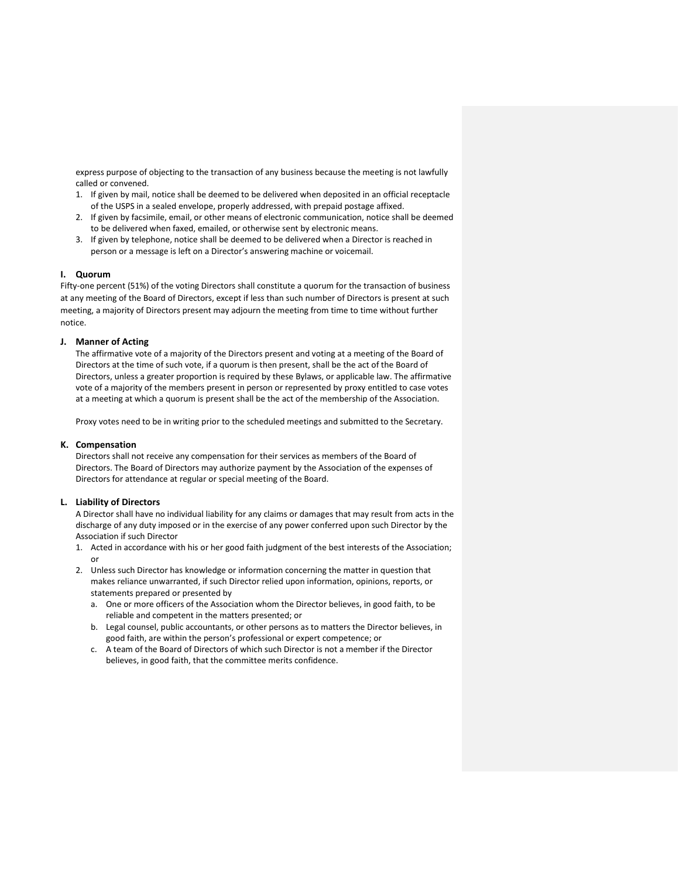express purpose of objecting to the transaction of any business because the meeting is not lawfully called or convened.

- 1. If given by mail, notice shall be deemed to be delivered when deposited in an official receptacle of the USPS in a sealed envelope, properly addressed, with prepaid postage affixed.
- 2. If given by facsimile, email, or other means of electronic communication, notice shall be deemed to be delivered when faxed, emailed, or otherwise sent by electronic means.
- 3. If given by telephone, notice shall be deemed to be delivered when a Director is reached in person or a message is left on a Director's answering machine or voicemail.

#### **I. Quorum**

Fifty-one percent (51%) of the voting Directors shall constitute a quorum for the transaction of business at any meeting of the Board of Directors, except if less than such number of Directors is present at such meeting, a majority of Directors present may adjourn the meeting from time to time without further notice.

#### **J. Manner of Acting**

The affirmative vote of a majority of the Directors present and voting at a meeting of the Board of Directors at the time of such vote, if a quorum is then present, shall be the act of the Board of Directors, unless a greater proportion is required by these Bylaws, or applicable law. The affirmative vote of a majority of the members present in person or represented by proxy entitled to case votes at a meeting at which a quorum is present shall be the act of the membership of the Association.

Proxy votes need to be in writing prior to the scheduled meetings and submitted to the Secretary.

## **K. Compensation**

Directors shall not receive any compensation for their services as members of the Board of Directors. The Board of Directors may authorize payment by the Association of the expenses of Directors for attendance at regular or special meeting of the Board.

#### **L. Liability of Directors**

A Director shall have no individual liability for any claims or damages that may result from acts in the discharge of any duty imposed or in the exercise of any power conferred upon such Director by the Association if such Director

- 1. Acted in accordance with his or her good faith judgment of the best interests of the Association; or
- 2. Unless such Director has knowledge or information concerning the matter in question that makes reliance unwarranted, if such Director relied upon information, opinions, reports, or statements prepared or presented by
	- a. One or more officers of the Association whom the Director believes, in good faith, to be reliable and competent in the matters presented; or
	- b. Legal counsel, public accountants, or other persons as to matters the Director believes, in good faith, are within the person's professional or expert competence; or
	- c. A team of the Board of Directors of which such Director is not a member if the Director believes, in good faith, that the committee merits confidence.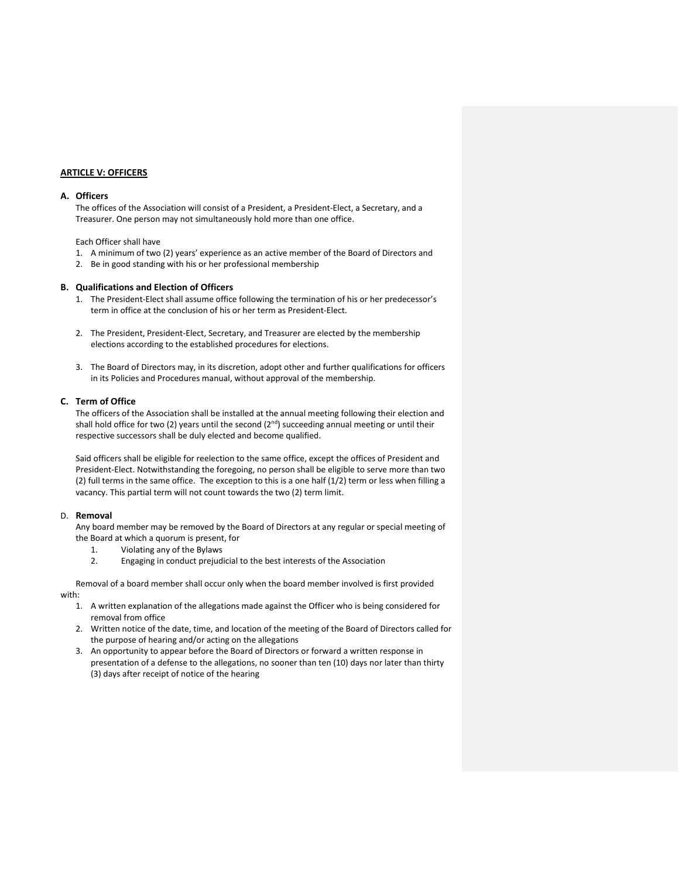## **ARTICLE V: OFFICERS**

#### **A. Officers**

The offices of the Association will consist of a President, a President-Elect, a Secretary, and a Treasurer. One person may not simultaneously hold more than one office.

Each Officer shall have

- 1. A minimum of two (2) years' experience as an active member of the Board of Directors and
- 2. Be in good standing with his or her professional membership

#### **B. Qualifications and Election of Officers**

- 1. The President-Elect shall assume office following the termination of his or her predecessor's term in office at the conclusion of his or her term as President-Elect.
- 2. The President, President-Elect, Secretary, and Treasurer are elected by the membership elections according to the established procedures for elections.
- 3. The Board of Directors may, in its discretion, adopt other and further qualifications for officers in its Policies and Procedures manual, without approval of the membership.

#### **C. Term of Office**

The officers of the Association shall be installed at the annual meeting following their election and shall hold office for two (2) years until the second  $(2<sup>nd</sup>)$  succeeding annual meeting or until their respective successors shall be duly elected and become qualified.

Said officers shall be eligible for reelection to the same office, except the offices of President and President-Elect. Notwithstanding the foregoing, no person shall be eligible to serve more than two (2) full terms in the same office. The exception to this is a one half (1/2) term or less when filling a vacancy. This partial term will not count towards the two (2) term limit.

#### D. **Removal**

Any board member may be removed by the Board of Directors at any regular or special meeting of the Board at which a quorum is present, for

- 1. Violating any of the Bylaws
- 2. Engaging in conduct prejudicial to the best interests of the Association

Removal of a board member shall occur only when the board member involved is first provided with:

- 1. A written explanation of the allegations made against the Officer who is being considered for removal from office
- 2. Written notice of the date, time, and location of the meeting of the Board of Directors called for the purpose of hearing and/or acting on the allegations
- 3. An opportunity to appear before the Board of Directors or forward a written response in presentation of a defense to the allegations, no sooner than ten (10) days nor later than thirty (3) days after receipt of notice of the hearing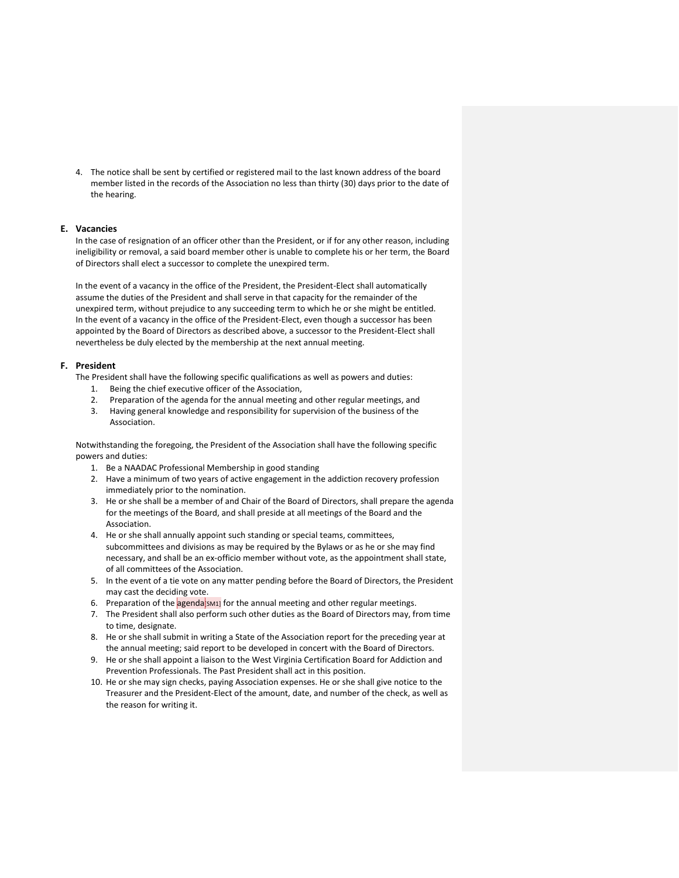4. The notice shall be sent by certified or registered mail to the last known address of the board member listed in the records of the Association no less than thirty (30) days prior to the date of the hearing.

## **E. Vacancies**

In the case of resignation of an officer other than the President, or if for any other reason, including ineligibility or removal, a said board member other is unable to complete his or her term, the Board of Directors shall elect a successor to complete the unexpired term.

In the event of a vacancy in the office of the President, the President-Elect shall automatically assume the duties of the President and shall serve in that capacity for the remainder of the unexpired term, without prejudice to any succeeding term to which he or she might be entitled. In the event of a vacancy in the office of the President-Elect, even though a successor has been appointed by the Board of Directors as described above, a successor to the President-Elect shall nevertheless be duly elected by the membership at the next annual meeting.

## **F. President**

The President shall have the following specific qualifications as well as powers and duties:

- 1. Being the chief executive officer of the Association,
- 2. Preparation of the agenda for the annual meeting and other regular meetings, and
- 3. Having general knowledge and responsibility for supervision of the business of the Association.

Notwithstanding the foregoing, the President of the Association shall have the following specific powers and duties:

- 1. Be a NAADAC Professional Membership in good standing
- 2. Have a minimum of two years of active engagement in the addiction recovery profession immediately prior to the nomination.
- 3. He or she shall be a member of and Chair of the Board of Directors, shall prepare the agenda for the meetings of the Board, and shall preside at all meetings of the Board and the Association.
- 4. He or she shall annually appoint such standing or special teams, committees, subcommittees and divisions as may be required by the Bylaws or as he or she may find necessary, and shall be an ex-officio member without vote, as the appointment shall state, of all committees of the Association.
- 5. In the event of a tie vote on any matter pending before the Board of Directors, the President may cast the deciding vote.
- 6. Preparation of the  $\frac{1}{2}$  agenda[sm1] for the annual meeting and other regular meetings.
- 7. The President shall also perform such other duties as the Board of Directors may, from time to time, designate.
- 8. He or she shall submit in writing a State of the Association report for the preceding year at the annual meeting; said report to be developed in concert with the Board of Directors.
- 9. He or she shall appoint a liaison to the West Virginia Certification Board for Addiction and Prevention Professionals. The Past President shall act in this position.
- 10. He or she may sign checks, paying Association expenses. He or she shall give notice to the Treasurer and the President-Elect of the amount, date, and number of the check, as well as the reason for writing it.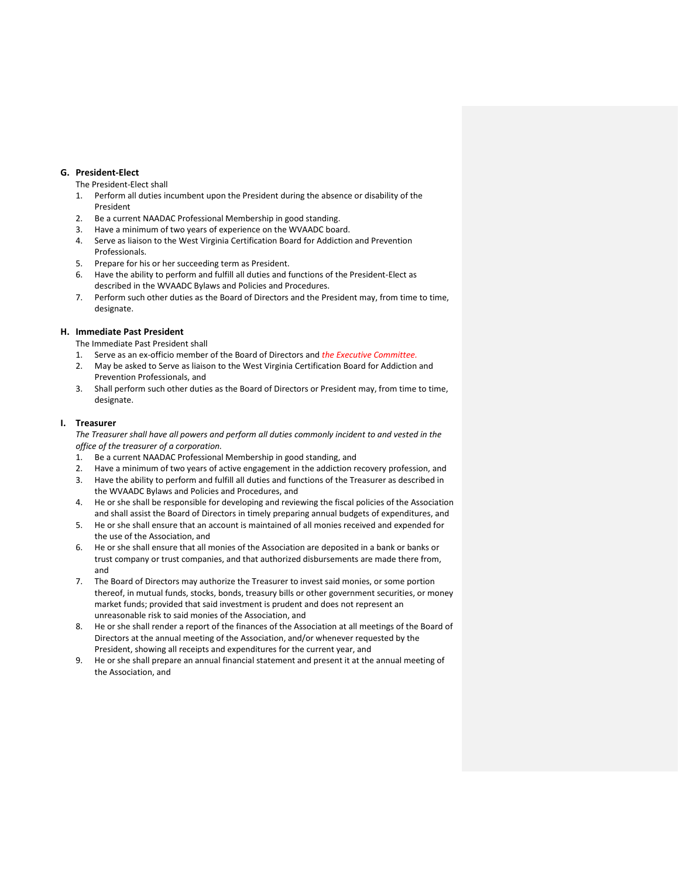## **G. President-Elect**

The President-Elect shall

- 1. Perform all duties incumbent upon the President during the absence or disability of the President
- 2. Be a current NAADAC Professional Membership in good standing.
- 3. Have a minimum of two years of experience on the WVAADC board.
- 4. Serve as liaison to the West Virginia Certification Board for Addiction and Prevention Professionals.
- 5. Prepare for his or her succeeding term as President.
- 6. Have the ability to perform and fulfill all duties and functions of the President-Elect as described in the WVAADC Bylaws and Policies and Procedures.
- 7. Perform such other duties as the Board of Directors and the President may, from time to time, designate.

## **H. Immediate Past President**

- The Immediate Past President shall
- 1. Serve as an ex-officio member of the Board of Directors and *the Executive Committee.*
- 2. May be asked to Serve as liaison to the West Virginia Certification Board for Addiction and Prevention Professionals, and
- 3. Shall perform such other duties as the Board of Directors or President may, from time to time, designate.

## **I. Treasurer**

*The Treasurer shall have all powers and perform all duties commonly incident to and vested in the office of the treasurer of a corporation.* 

- 1. Be a current NAADAC Professional Membership in good standing, and
- 2. Have a minimum of two years of active engagement in the addiction recovery profession, and
- 3. Have the ability to perform and fulfill all duties and functions of the Treasurer as described in the WVAADC Bylaws and Policies and Procedures, and
- 4. He or she shall be responsible for developing and reviewing the fiscal policies of the Association and shall assist the Board of Directors in timely preparing annual budgets of expenditures, and
- 5. He or she shall ensure that an account is maintained of all monies received and expended for the use of the Association, and
- 6. He or she shall ensure that all monies of the Association are deposited in a bank or banks or trust company or trust companies, and that authorized disbursements are made there from, and
- 7. The Board of Directors may authorize the Treasurer to invest said monies, or some portion thereof, in mutual funds, stocks, bonds, treasury bills or other government securities, or money market funds; provided that said investment is prudent and does not represent an unreasonable risk to said monies of the Association, and
- 8. He or she shall render a report of the finances of the Association at all meetings of the Board of Directors at the annual meeting of the Association, and/or whenever requested by the President, showing all receipts and expenditures for the current year, and
- 9. He or she shall prepare an annual financial statement and present it at the annual meeting of the Association, and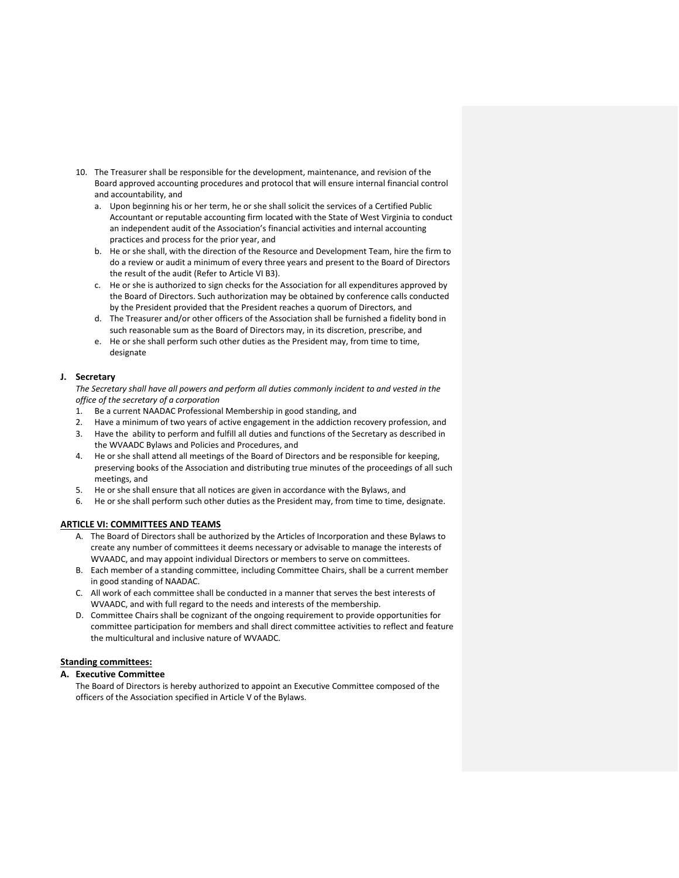- 10. The Treasurer shall be responsible for the development, maintenance, and revision of the Board approved accounting procedures and protocol that will ensure internal financial control and accountability, and
	- a. Upon beginning his or her term, he or she shall solicit the services of a Certified Public Accountant or reputable accounting firm located with the State of West Virginia to conduct an independent audit of the Association's financial activities and internal accounting practices and process for the prior year, and
	- b. He or she shall, with the direction of the Resource and Development Team, hire the firm to do a review or audit a minimum of every three years and present to the Board of Directors the result of the audit (Refer to Article VI B3).
	- c. He or she is authorized to sign checks for the Association for all expenditures approved by the Board of Directors. Such authorization may be obtained by conference calls conducted by the President provided that the President reaches a quorum of Directors, and
	- d. The Treasurer and/or other officers of the Association shall be furnished a fidelity bond in such reasonable sum as the Board of Directors may, in its discretion, prescribe, and
	- e. He or she shall perform such other duties as the President may, from time to time, designate

## **J. Secretary**

*The Secretary shall have all powers and perform all duties commonly incident to and vested in the office of the secretary of a corporation*

- 1. Be a current NAADAC Professional Membership in good standing, and
- 2. Have a minimum of two years of active engagement in the addiction recovery profession, and
- 3. Have the ability to perform and fulfill all duties and functions of the Secretary as described in the WVAADC Bylaws and Policies and Procedures, and
- 4. He or she shall attend all meetings of the Board of Directors and be responsible for keeping, preserving books of the Association and distributing true minutes of the proceedings of all such meetings, and
- 5. He or she shall ensure that all notices are given in accordance with the Bylaws, and
- 6. He or she shall perform such other duties as the President may, from time to time, designate.

## **ARTICLE VI: COMMITTEES AND TEAMS**

- A. The Board of Directors shall be authorized by the Articles of Incorporation and these Bylaws to create any number of committees it deems necessary or advisable to manage the interests of WVAADC, and may appoint individual Directors or members to serve on committees.
- B. Each member of a standing committee, including Committee Chairs, shall be a current member in good standing of NAADAC.
- C. All work of each committee shall be conducted in a manner that serves the best interests of WVAADC, and with full regard to the needs and interests of the membership.
- D. Committee Chairs shall be cognizant of the ongoing requirement to provide opportunities for committee participation for members and shall direct committee activities to reflect and feature the multicultural and inclusive nature of WVAADC.

## **Standing committees:**

## **A. Executive Committee**

The Board of Directors is hereby authorized to appoint an Executive Committee composed of the officers of the Association specified in Article V of the Bylaws.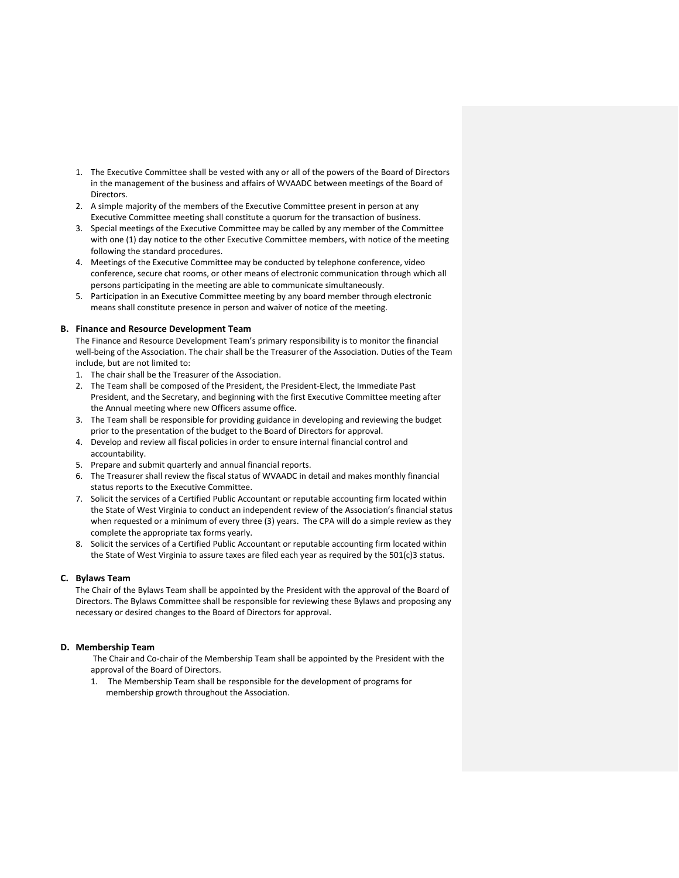- 1. The Executive Committee shall be vested with any or all of the powers of the Board of Directors in the management of the business and affairs of WVAADC between meetings of the Board of Directors.
- 2. A simple majority of the members of the Executive Committee present in person at any Executive Committee meeting shall constitute a quorum for the transaction of business.
- 3. Special meetings of the Executive Committee may be called by any member of the Committee with one (1) day notice to the other Executive Committee members, with notice of the meeting following the standard procedures.
- 4. Meetings of the Executive Committee may be conducted by telephone conference, video conference, secure chat rooms, or other means of electronic communication through which all persons participating in the meeting are able to communicate simultaneously.
- 5. Participation in an Executive Committee meeting by any board member through electronic means shall constitute presence in person and waiver of notice of the meeting.

## **B. Finance and Resource Development Team**

The Finance and Resource Development Team's primary responsibility is to monitor the financial well-being of the Association. The chair shall be the Treasurer of the Association. Duties of the Team include, but are not limited to:

- 1. The chair shall be the Treasurer of the Association.
- 2. The Team shall be composed of the President, the President-Elect, the Immediate Past President, and the Secretary, and beginning with the first Executive Committee meeting after the Annual meeting where new Officers assume office.
- 3. The Team shall be responsible for providing guidance in developing and reviewing the budget prior to the presentation of the budget to the Board of Directors for approval.
- 4. Develop and review all fiscal policies in order to ensure internal financial control and accountability.
- 5. Prepare and submit quarterly and annual financial reports.
- 6. The Treasurer shall review the fiscal status of WVAADC in detail and makes monthly financial status reports to the Executive Committee.
- 7. Solicit the services of a Certified Public Accountant or reputable accounting firm located within the State of West Virginia to conduct an independent review of the Association's financial status when requested or a minimum of every three (3) years. The CPA will do a simple review as they complete the appropriate tax forms yearly.
- 8. Solicit the services of a Certified Public Accountant or reputable accounting firm located within the State of West Virginia to assure taxes are filed each year as required by the 501(c)3 status.

## **C. Bylaws Team**

The Chair of the Bylaws Team shall be appointed by the President with the approval of the Board of Directors. The Bylaws Committee shall be responsible for reviewing these Bylaws and proposing any necessary or desired changes to the Board of Directors for approval.

## **D. Membership Team**

The Chair and Co-chair of the Membership Team shall be appointed by the President with the approval of the Board of Directors.

1. The Membership Team shall be responsible for the development of programs for membership growth throughout the Association.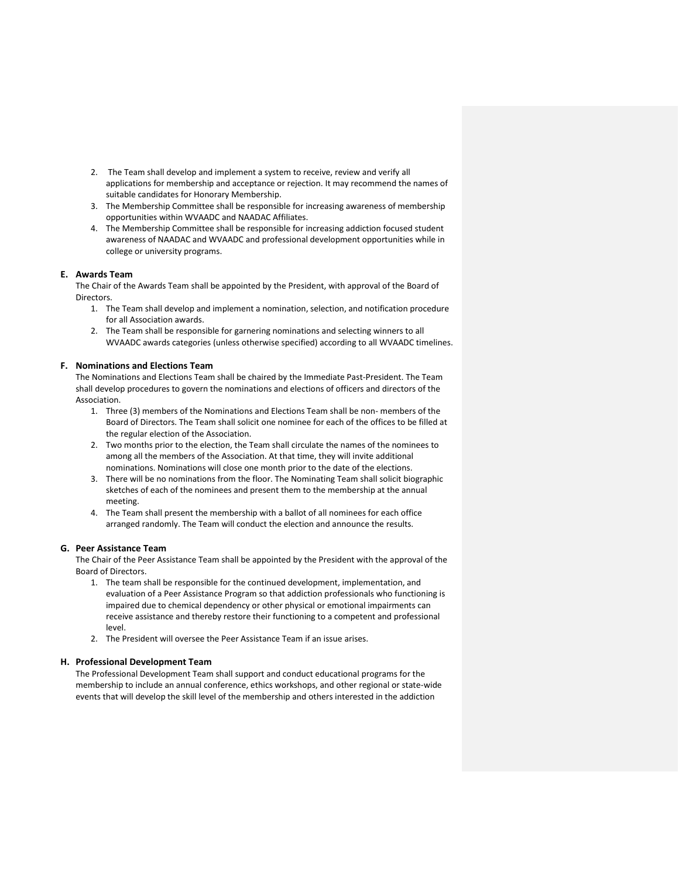- 2. The Team shall develop and implement a system to receive, review and verify all applications for membership and acceptance or rejection. It may recommend the names of suitable candidates for Honorary Membership.
- 3. The Membership Committee shall be responsible for increasing awareness of membership opportunities within WVAADC and NAADAC Affiliates.
- 4. The Membership Committee shall be responsible for increasing addiction focused student awareness of NAADAC and WVAADC and professional development opportunities while in college or university programs.

## **E. Awards Team**

The Chair of the Awards Team shall be appointed by the President, with approval of the Board of **Directors** 

- 1. The Team shall develop and implement a nomination, selection, and notification procedure for all Association awards.
- 2. The Team shall be responsible for garnering nominations and selecting winners to all WVAADC awards categories (unless otherwise specified) according to all WVAADC timelines.

#### **F. Nominations and Elections Team**

The Nominations and Elections Team shall be chaired by the Immediate Past-President. The Team shall develop procedures to govern the nominations and elections of officers and directors of the Association.

- 1. Three (3) members of the Nominations and Elections Team shall be non- members of the Board of Directors. The Team shall solicit one nominee for each of the offices to be filled at the regular election of the Association.
- 2. Two months prior to the election, the Team shall circulate the names of the nominees to among all the members of the Association. At that time, they will invite additional nominations. Nominations will close one month prior to the date of the elections.
- 3. There will be no nominations from the floor. The Nominating Team shall solicit biographic sketches of each of the nominees and present them to the membership at the annual meeting.
- 4. The Team shall present the membership with a ballot of all nominees for each office arranged randomly. The Team will conduct the election and announce the results.

## **G. Peer Assistance Team**

The Chair of the Peer Assistance Team shall be appointed by the President with the approval of the Board of Directors.

- 1. The team shall be responsible for the continued development, implementation, and evaluation of a Peer Assistance Program so that addiction professionals who functioning is impaired due to chemical dependency or other physical or emotional impairments can receive assistance and thereby restore their functioning to a competent and professional level.
- 2. The President will oversee the Peer Assistance Team if an issue arises.

## **H. Professional Development Team**

The Professional Development Team shall support and conduct educational programs for the membership to include an annual conference, ethics workshops, and other regional or state-wide events that will develop the skill level of the membership and others interested in the addiction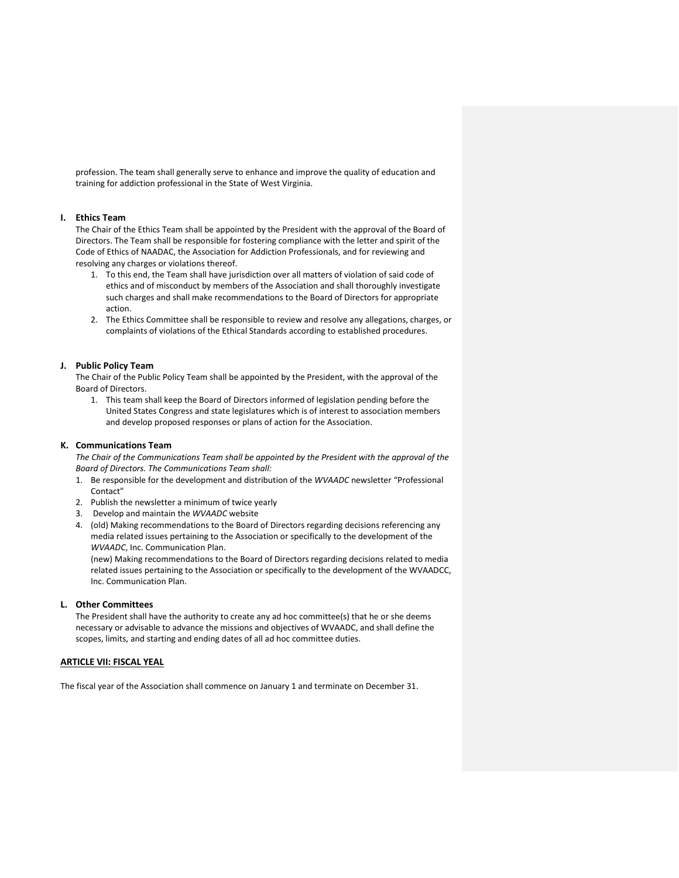profession. The team shall generally serve to enhance and improve the quality of education and training for addiction professional in the State of West Virginia.

## **I. Ethics Team**

The Chair of the Ethics Team shall be appointed by the President with the approval of the Board of Directors. The Team shall be responsible for fostering compliance with the letter and spirit of the Code of Ethics of NAADAC, the Association for Addiction Professionals, and for reviewing and resolving any charges or violations thereof.

- 1. To this end, the Team shall have jurisdiction over all matters of violation of said code of ethics and of misconduct by members of the Association and shall thoroughly investigate such charges and shall make recommendations to the Board of Directors for appropriate action.
- 2. The Ethics Committee shall be responsible to review and resolve any allegations, charges, or complaints of violations of the Ethical Standards according to established procedures.

#### **J. Public Policy Team**

The Chair of the Public Policy Team shall be appointed by the President, with the approval of the Board of Directors.

1. This team shall keep the Board of Directors informed of legislation pending before the United States Congress and state legislatures which is of interest to association members and develop proposed responses or plans of action for the Association.

## **K. Communications Team**

*The Chair of the Communications Team shall be appointed by the President with the approval of the Board of Directors. The Communications Team shall:*

- 1. Be responsible for the development and distribution of the *WVAADC* newsletter "Professional Contact"
- 2. Publish the newsletter a minimum of twice yearly
- 3. Develop and maintain the *WVAADC* website
- 4. (old) Making recommendations to the Board of Directors regarding decisions referencing any media related issues pertaining to the Association or specifically to the development of the *WVAADC*, Inc. Communication Plan.

(new) Making recommendations to the Board of Directors regarding decisions related to media related issues pertaining to the Association or specifically to the development of the WVAADCC, Inc. Communication Plan.

#### **L. Other Committees**

The President shall have the authority to create any ad hoc committee(s) that he or she deems necessary or advisable to advance the missions and objectives of WVAADC, and shall define the scopes, limits, and starting and ending dates of all ad hoc committee duties.

## **ARTICLE VII: FISCAL YEAL**

The fiscal year of the Association shall commence on January 1 and terminate on December 31.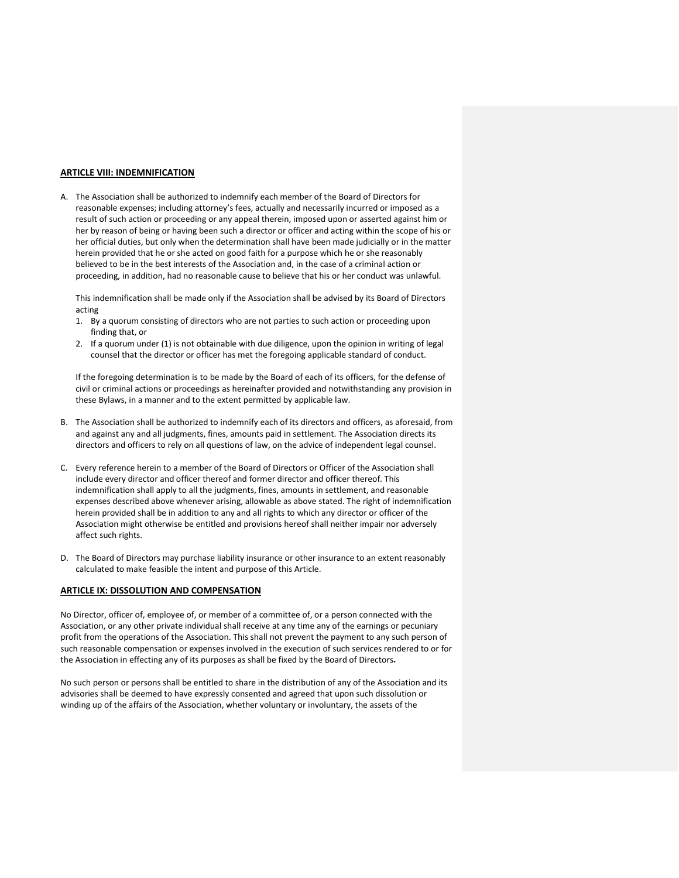## **ARTICLE VIII: INDEMNIFICATION**

A. The Association shall be authorized to indemnify each member of the Board of Directors for reasonable expenses; including attorney's fees, actually and necessarily incurred or imposed as a result of such action or proceeding or any appeal therein, imposed upon or asserted against him or her by reason of being or having been such a director or officer and acting within the scope of his or her official duties, but only when the determination shall have been made judicially or in the matter herein provided that he or she acted on good faith for a purpose which he or she reasonably believed to be in the best interests of the Association and, in the case of a criminal action or proceeding, in addition, had no reasonable cause to believe that his or her conduct was unlawful.

This indemnification shall be made only if the Association shall be advised by its Board of Directors acting

- 1. By a quorum consisting of directors who are not parties to such action or proceeding upon finding that, or
- 2. If a quorum under (1) is not obtainable with due diligence, upon the opinion in writing of legal counsel that the director or officer has met the foregoing applicable standard of conduct.

If the foregoing determination is to be made by the Board of each of its officers, for the defense of civil or criminal actions or proceedings as hereinafter provided and notwithstanding any provision in these Bylaws, in a manner and to the extent permitted by applicable law.

- B. The Association shall be authorized to indemnify each of its directors and officers, as aforesaid, from and against any and all judgments, fines, amounts paid in settlement. The Association directs its directors and officers to rely on all questions of law, on the advice of independent legal counsel.
- C. Every reference herein to a member of the Board of Directors or Officer of the Association shall include every director and officer thereof and former director and officer thereof. This indemnification shall apply to all the judgments, fines, amounts in settlement, and reasonable expenses described above whenever arising, allowable as above stated. The right of indemnification herein provided shall be in addition to any and all rights to which any director or officer of the Association might otherwise be entitled and provisions hereof shall neither impair nor adversely affect such rights.
- D. The Board of Directors may purchase liability insurance or other insurance to an extent reasonably calculated to make feasible the intent and purpose of this Article.

## **ARTICLE IX: DISSOLUTION AND COMPENSATION**

No Director, officer of, employee of, or member of a committee of, or a person connected with the Association, or any other private individual shall receive at any time any of the earnings or pecuniary profit from the operations of the Association. This shall not prevent the payment to any such person of such reasonable compensation or expenses involved in the execution of such services rendered to or for the Association in effecting any of its purposes as shall be fixed by the Board of Directors.

No such person or persons shall be entitled to share in the distribution of any of the Association and its advisories shall be deemed to have expressly consented and agreed that upon such dissolution or winding up of the affairs of the Association, whether voluntary or involuntary, the assets of the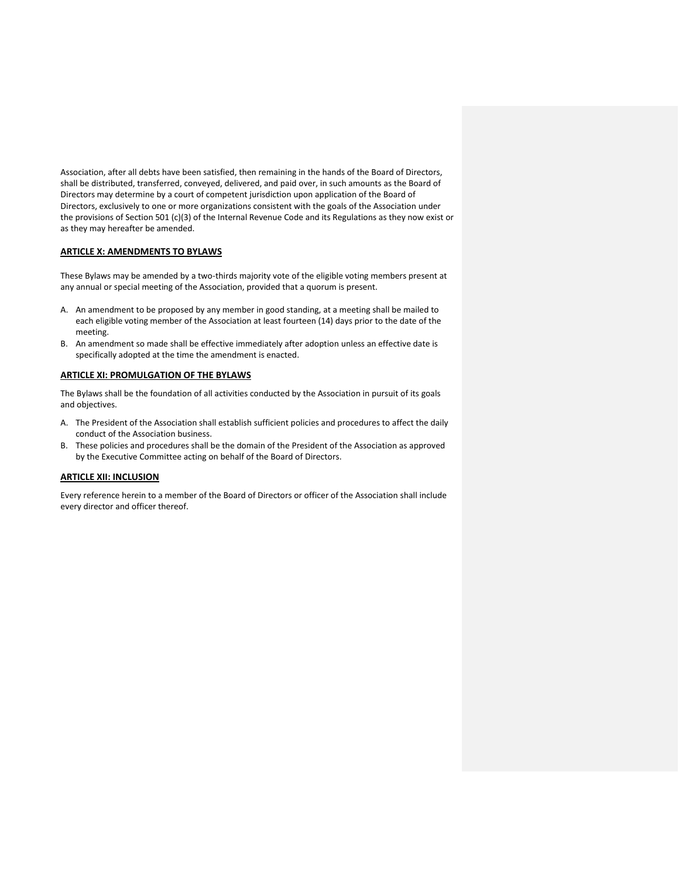Association, after all debts have been satisfied, then remaining in the hands of the Board of Directors, shall be distributed, transferred, conveyed, delivered, and paid over, in such amounts as the Board of Directors may determine by a court of competent jurisdiction upon application of the Board of Directors, exclusively to one or more organizations consistent with the goals of the Association under the provisions of Section 501 (c)(3) of the Internal Revenue Code and its Regulations as they now exist or as they may hereafter be amended.

## **ARTICLE X: AMENDMENTS TO BYLAWS**

These Bylaws may be amended by a two-thirds majority vote of the eligible voting members present at any annual or special meeting of the Association, provided that a quorum is present.

- A. An amendment to be proposed by any member in good standing, at a meeting shall be mailed to each eligible voting member of the Association at least fourteen (14) days prior to the date of the meeting.
- B. An amendment so made shall be effective immediately after adoption unless an effective date is specifically adopted at the time the amendment is enacted.

## **ARTICLE XI: PROMULGATION OF THE BYLAWS**

The Bylaws shall be the foundation of all activities conducted by the Association in pursuit of its goals and objectives.

- A. The President of the Association shall establish sufficient policies and procedures to affect the daily conduct of the Association business.
- B. These policies and procedures shall be the domain of the President of the Association as approved by the Executive Committee acting on behalf of the Board of Directors.

#### **ARTICLE XII: INCLUSION**

Every reference herein to a member of the Board of Directors or officer of the Association shall include every director and officer thereof.